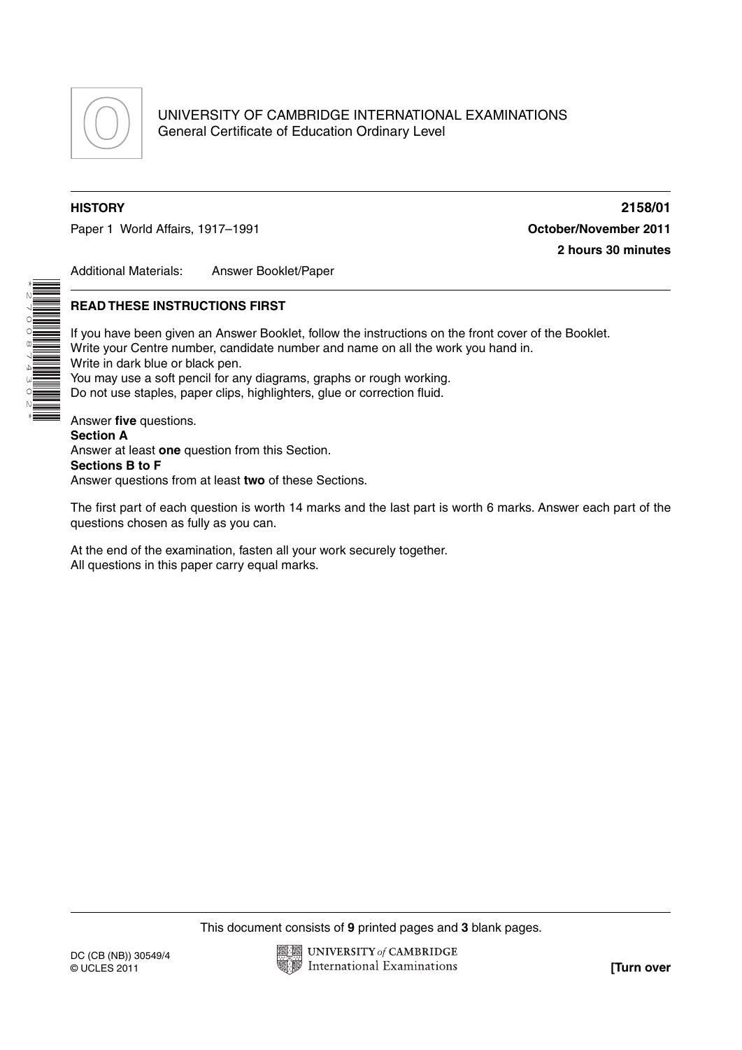

\*2700874302\*

Paper 1 World Affairs, 1917–1991 **CHACK COLLECT ACCESS OF A SET A** COLLECT OF A SAMPLE PAPER 2011

**HISTORY 2158/01**

# **2 hours 30 minutes**

Additional Materials: Answer Booklet/Paper

### **READ THESE INSTRUCTIONS FIRST**

If you have been given an Answer Booklet, follow the instructions on the front cover of the Booklet. Write your Centre number, candidate number and name on all the work you hand in. Write in dark blue or black pen. You may use a soft pencil for any diagrams, graphs or rough working. Do not use staples, paper clips, highlighters, glue or correction fluid. Answer **five** questions.

**Section A** Answer at least **one** question from this Section. **Sections B to F** Answer questions from at least **two** of these Sections.

The first part of each question is worth 14 marks and the last part is worth 6 marks. Answer each part of the questions chosen as fully as you can.

At the end of the examination, fasten all your work securely together. All questions in this paper carry equal marks.

This document consists of **9** printed pages and **3** blank pages.

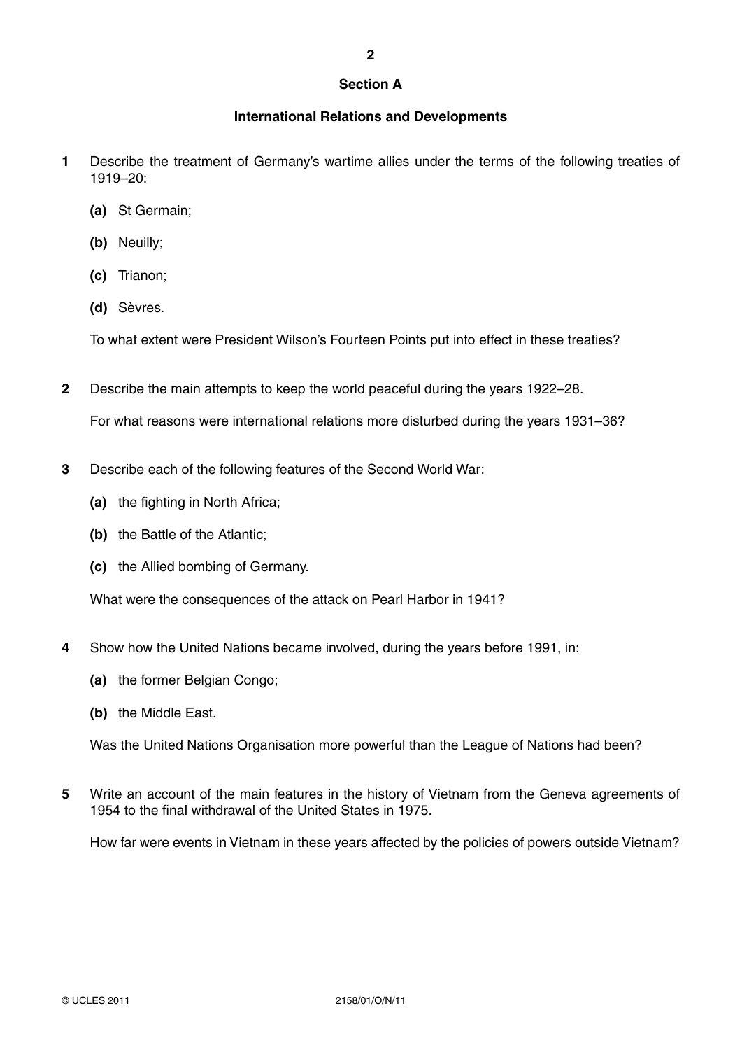# **Section A**

**2**

# **International Relations and Developments**

- **1** Describe the treatment of Germany's wartime allies under the terms of the following treaties of 1919–20:
	- **(a)** St Germain;
	- **(b)** Neuilly;
	- **(c)** Trianon;
	- **(d)** Sèvres.

To what extent were President Wilson's Fourteen Points put into effect in these treaties?

**2** Describe the main attempts to keep the world peaceful during the years 1922–28.

For what reasons were international relations more disturbed during the years 1931–36?

- **3** Describe each of the following features of the Second World War:
	- **(a)** the fighting in North Africa;
	- **(b)** the Battle of the Atlantic;
	- **(c)** the Allied bombing of Germany.

What were the consequences of the attack on Pearl Harbor in 1941?

- **4** Show how the United Nations became involved, during the years before 1991, in:
	- **(a)** the former Belgian Congo;
	- **(b)** the Middle East.

Was the United Nations Organisation more powerful than the League of Nations had been?

**5** Write an account of the main features in the history of Vietnam from the Geneva agreements of 1954 to the final withdrawal of the United States in 1975.

How far were events in Vietnam in these years affected by the policies of powers outside Vietnam?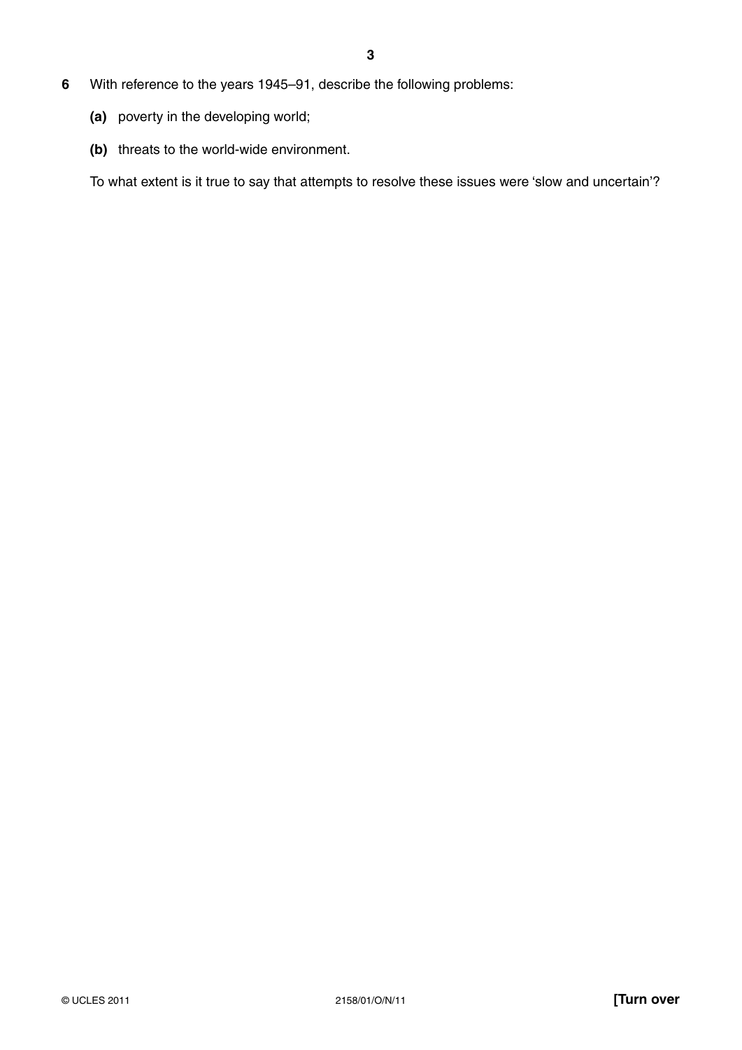- **6** With reference to the years 1945–91, describe the following problems:
	- **(a)** poverty in the developing world;
	- **(b)** threats to the world-wide environment.

To what extent is it true to say that attempts to resolve these issues were 'slow and uncertain'?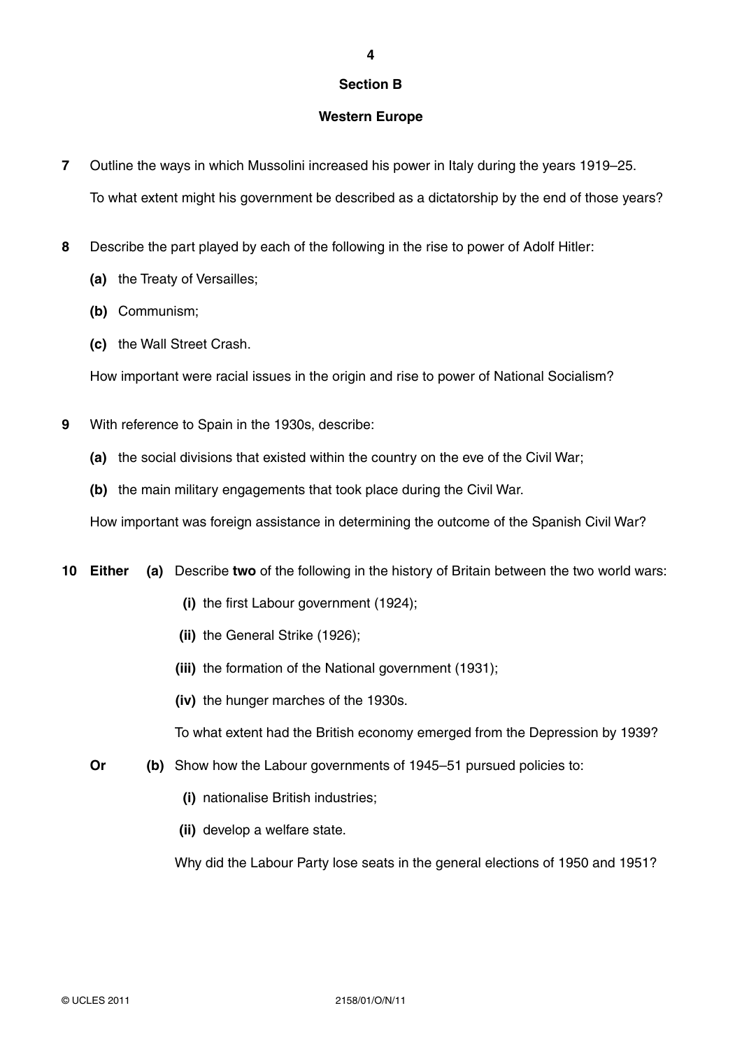# **Section B**

**4**

# **Western Europe**

- **7** Outline the ways in which Mussolini increased his power in Italy during the years 1919–25. To what extent might his government be described as a dictatorship by the end of those years?
- **8** Describe the part played by each of the following in the rise to power of Adolf Hitler:
	- **(a)** the Treaty of Versailles;
	- **(b)** Communism;
	- **(c)** the Wall Street Crash.

How important were racial issues in the origin and rise to power of National Socialism?

- **9** With reference to Spain in the 1930s, describe:
	- **(a)** the social divisions that existed within the country on the eve of the Civil War;
	- **(b)** the main military engagements that took place during the Civil War.

How important was foreign assistance in determining the outcome of the Spanish Civil War?

- **10 Either (a)** Describe **two** of the following in the history of Britain between the two world wars:
	- **(i)** the first Labour government (1924);
	- **(ii)** the General Strike (1926);
	- **(iii)** the formation of the National government (1931);
	- **(iv)** the hunger marches of the 1930s.

To what extent had the British economy emerged from the Depression by 1939?

- **Or** (b) Show how the Labour governments of 1945–51 pursued policies to:
	- **(i)** nationalise British industries;
	- **(ii)** develop a welfare state.

Why did the Labour Party lose seats in the general elections of 1950 and 1951?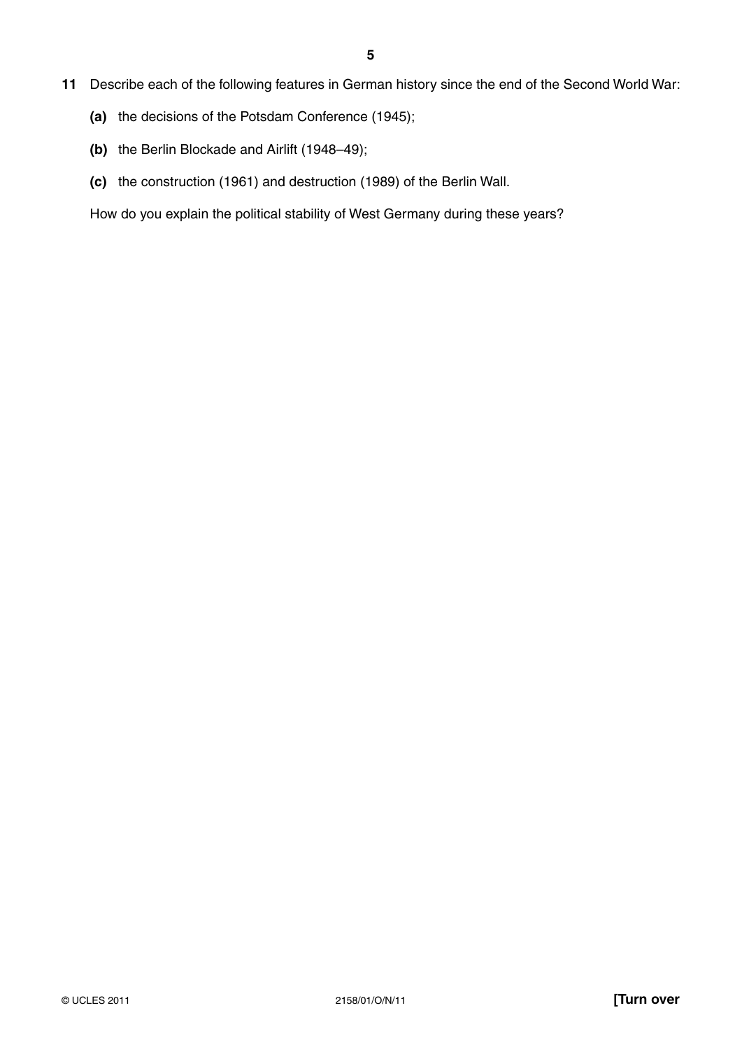- **11** Describe each of the following features in German history since the end of the Second World War:
	- **(a)** the decisions of the Potsdam Conference (1945);
	- **(b)** the Berlin Blockade and Airlift (1948–49);
	- **(c)** the construction (1961) and destruction (1989) of the Berlin Wall.

How do you explain the political stability of West Germany during these years?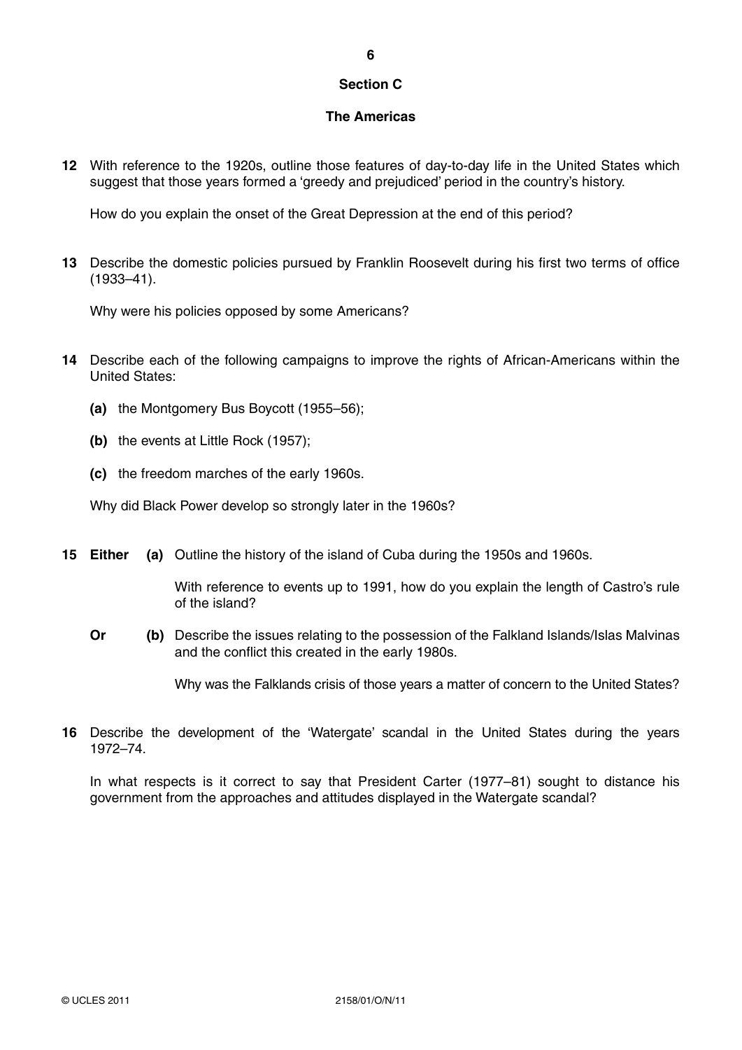# **Section C**

# **The Americas**

**12** With reference to the 1920s, outline those features of day-to-day life in the United States which suggest that those years formed a 'greedy and prejudiced' period in the country's history.

How do you explain the onset of the Great Depression at the end of this period?

**13** Describe the domestic policies pursued by Franklin Roosevelt during his first two terms of office (1933–41).

Why were his policies opposed by some Americans?

- **14** Describe each of the following campaigns to improve the rights of African-Americans within the United States:
	- **(a)** the Montgomery Bus Boycott (1955–56);
	- **(b)** the events at Little Rock (1957);
	- **(c)** the freedom marches of the early 1960s.

Why did Black Power develop so strongly later in the 1960s?

**15 Either (a)** Outline the history of the island of Cuba during the 1950s and 1960s.

With reference to events up to 1991, how do you explain the length of Castro's rule of the island?

**Or** (b) Describe the issues relating to the possession of the Falkland Islands/Islas Malvinas and the conflict this created in the early 1980s.

Why was the Falklands crisis of those years a matter of concern to the United States?

**16** Describe the development of the 'Watergate' scandal in the United States during the years 1972–74.

In what respects is it correct to say that President Carter (1977–81) sought to distance his government from the approaches and attitudes displayed in the Watergate scandal?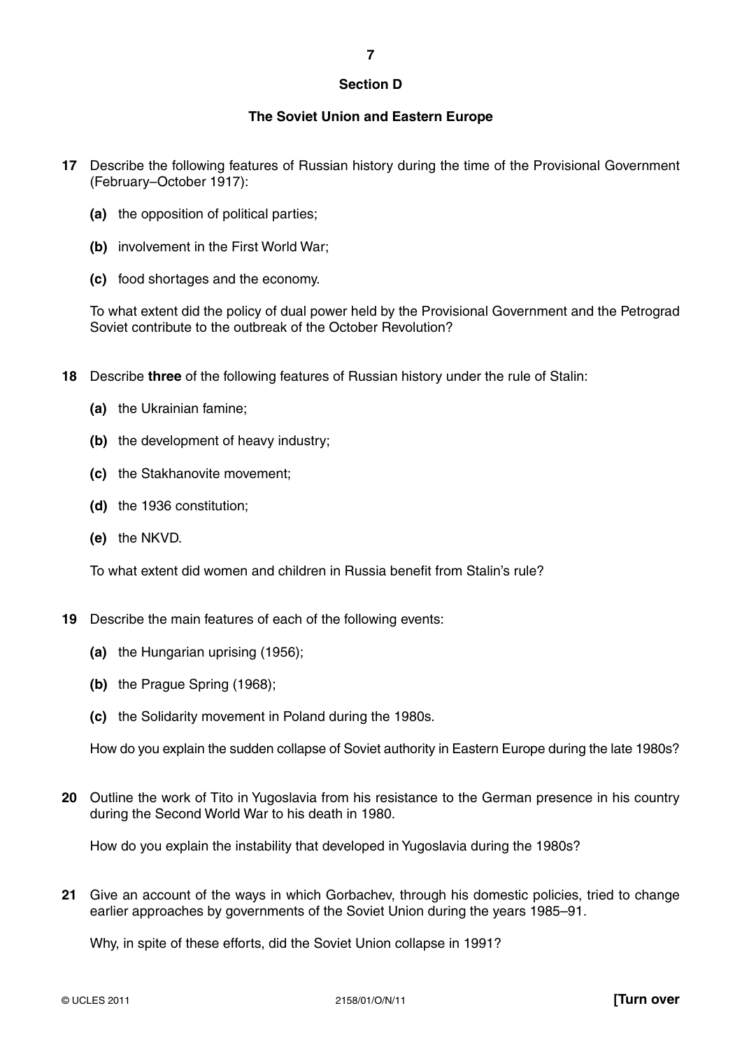# **Section D**

**7**

# **The Soviet Union and Eastern Europe**

- **17** Describe the following features of Russian history during the time of the Provisional Government (February–October 1917):
	- **(a)** the opposition of political parties;
	- **(b)** involvement in the First World War;
	- **(c)** food shortages and the economy.

To what extent did the policy of dual power held by the Provisional Government and the Petrograd Soviet contribute to the outbreak of the October Revolution?

- **18** Describe **three** of the following features of Russian history under the rule of Stalin:
	- **(a)** the Ukrainian famine;
	- **(b)** the development of heavy industry;
	- **(c)** the Stakhanovite movement;
	- **(d)** the 1936 constitution;
	- **(e)** the NKVD.

To what extent did women and children in Russia benefit from Stalin's rule?

- **19** Describe the main features of each of the following events:
	- **(a)** the Hungarian uprising (1956);
	- **(b)** the Prague Spring (1968);
	- **(c)** the Solidarity movement in Poland during the 1980s.

How do you explain the sudden collapse of Soviet authority in Eastern Europe during the late 1980s?

**20** Outline the work of Tito in Yugoslavia from his resistance to the German presence in his country during the Second World War to his death in 1980.

How do you explain the instability that developed in Yugoslavia during the 1980s?

**21** Give an account of the ways in which Gorbachev, through his domestic policies, tried to change earlier approaches by governments of the Soviet Union during the years 1985–91.

Why, in spite of these efforts, did the Soviet Union collapse in 1991?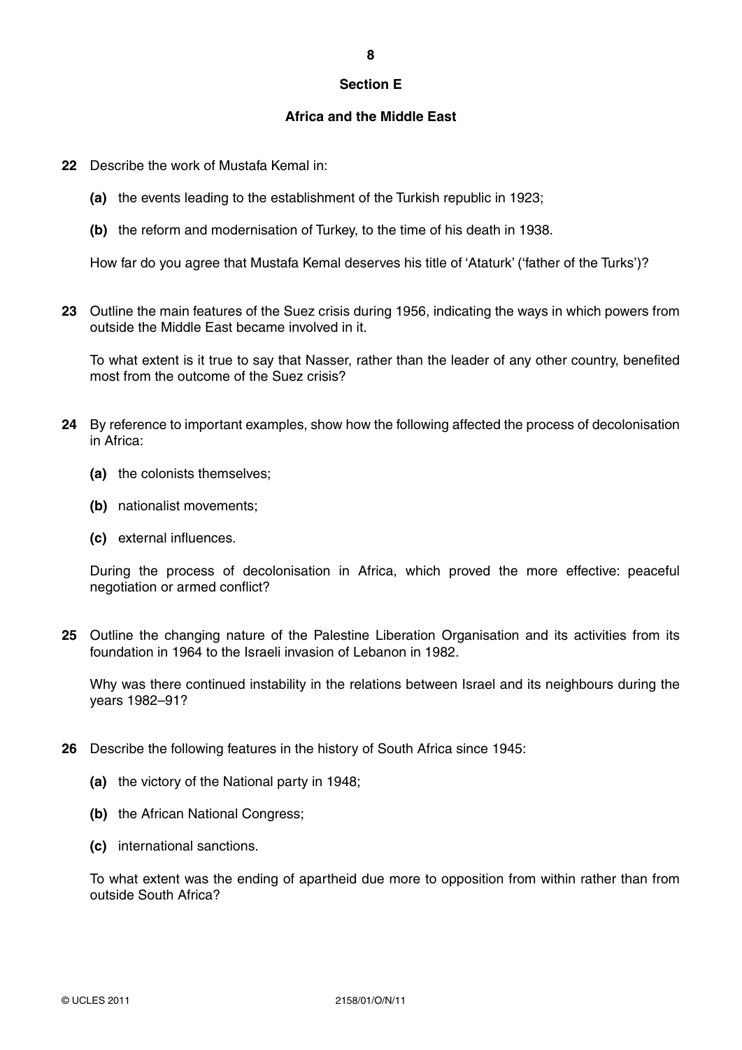# **Section E**

# **Africa and the Middle East**

- **22** Describe the work of Mustafa Kemal in:
	- **(a)** the events leading to the establishment of the Turkish republic in 1923;
	- **(b)** the reform and modernisation of Turkey, to the time of his death in 1938.

How far do you agree that Mustafa Kemal deserves his title of 'Ataturk' ('father of the Turks')?

**23** Outline the main features of the Suez crisis during 1956, indicating the ways in which powers from outside the Middle East became involved in it.

To what extent is it true to say that Nasser, rather than the leader of any other country, benefited most from the outcome of the Suez crisis?

- **24** By reference to important examples, show how the following affected the process of decolonisation in Africa:
	- **(a)** the colonists themselves;
	- **(b)** nationalist movements;
	- **(c)** external influences.

During the process of decolonisation in Africa, which proved the more effective: peaceful negotiation or armed conflict?

**25** Outline the changing nature of the Palestine Liberation Organisation and its activities from its foundation in 1964 to the Israeli invasion of Lebanon in 1982.

Why was there continued instability in the relations between Israel and its neighbours during the years 1982–91?

- **26** Describe the following features in the history of South Africa since 1945:
	- **(a)** the victory of the National party in 1948;
	- **(b)** the African National Congress;
	- **(c)** international sanctions.

To what extent was the ending of apartheid due more to opposition from within rather than from outside South Africa?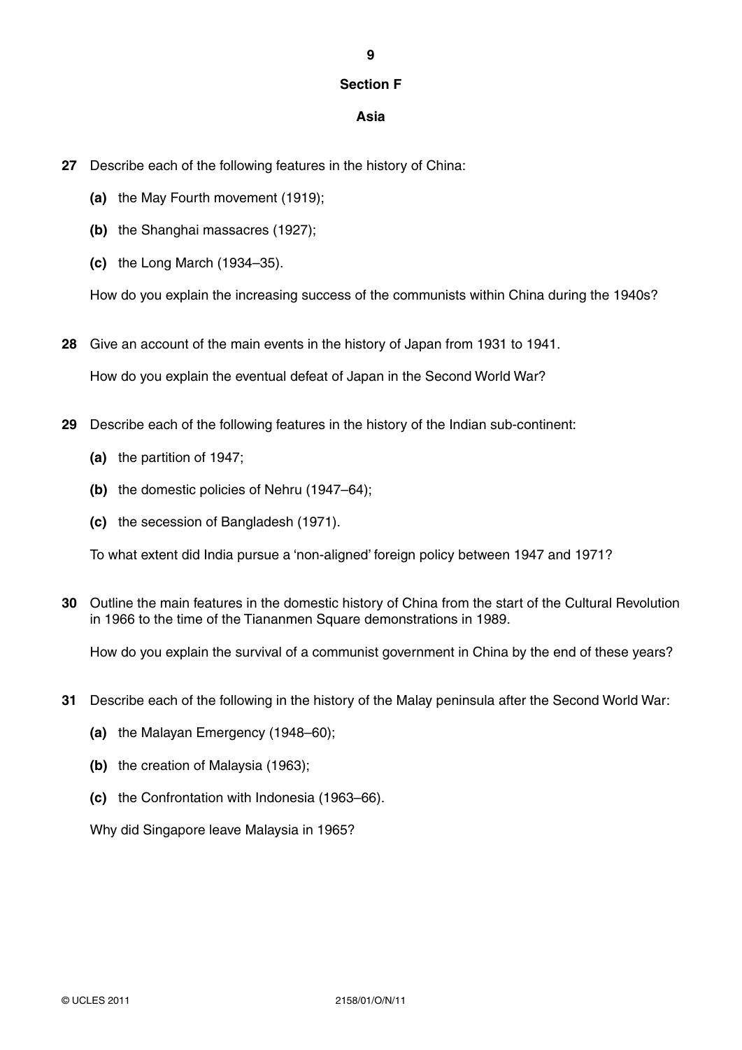# **Section F**

**9**

# **Asia**

- **27** Describe each of the following features in the history of China:
	- **(a)** the May Fourth movement (1919);
	- **(b)** the Shanghai massacres (1927);
	- **(c)** the Long March (1934–35).

How do you explain the increasing success of the communists within China during the 1940s?

**28** Give an account of the main events in the history of Japan from 1931 to 1941.

How do you explain the eventual defeat of Japan in the Second World War?

- **29** Describe each of the following features in the history of the Indian sub-continent:
	- **(a)** the partition of 1947;
	- **(b)** the domestic policies of Nehru (1947–64);
	- **(c)** the secession of Bangladesh (1971).

To what extent did India pursue a 'non-aligned' foreign policy between 1947 and 1971?

**30** Outline the main features in the domestic history of China from the start of the Cultural Revolution in 1966 to the time of the Tiananmen Square demonstrations in 1989.

How do you explain the survival of a communist government in China by the end of these years?

- **31** Describe each of the following in the history of the Malay peninsula after the Second World War:
	- **(a)** the Malayan Emergency (1948–60);
	- **(b)** the creation of Malaysia (1963);
	- **(c)** the Confrontation with Indonesia (1963–66).

Why did Singapore leave Malaysia in 1965?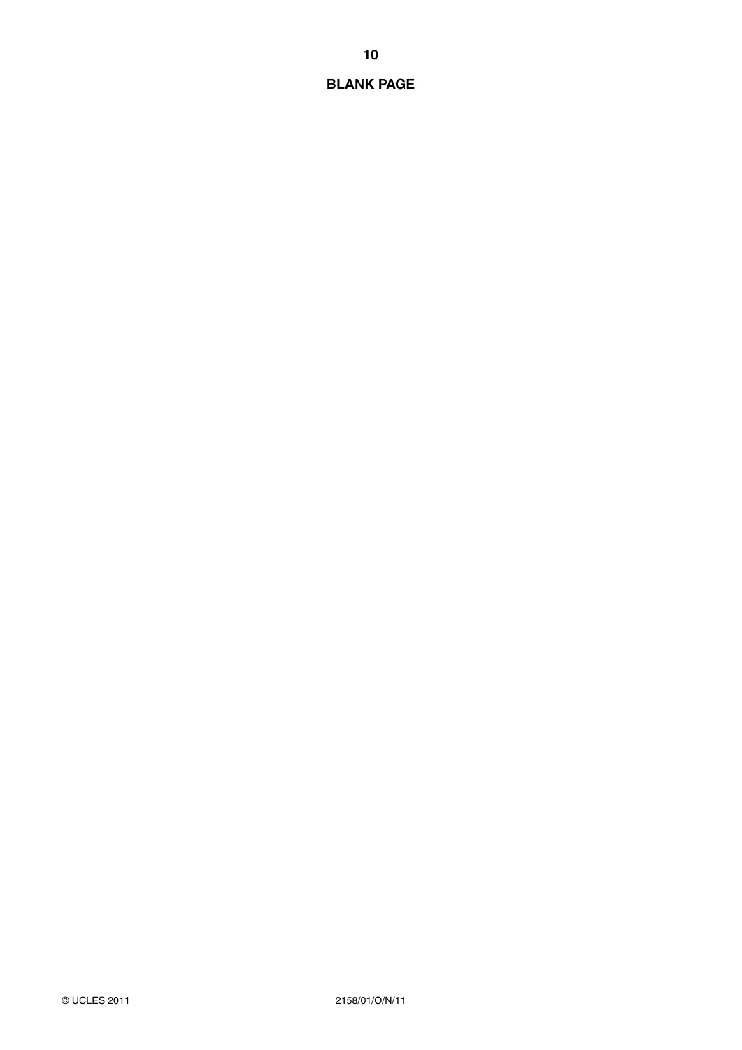# **BLANK PAGE**

**10**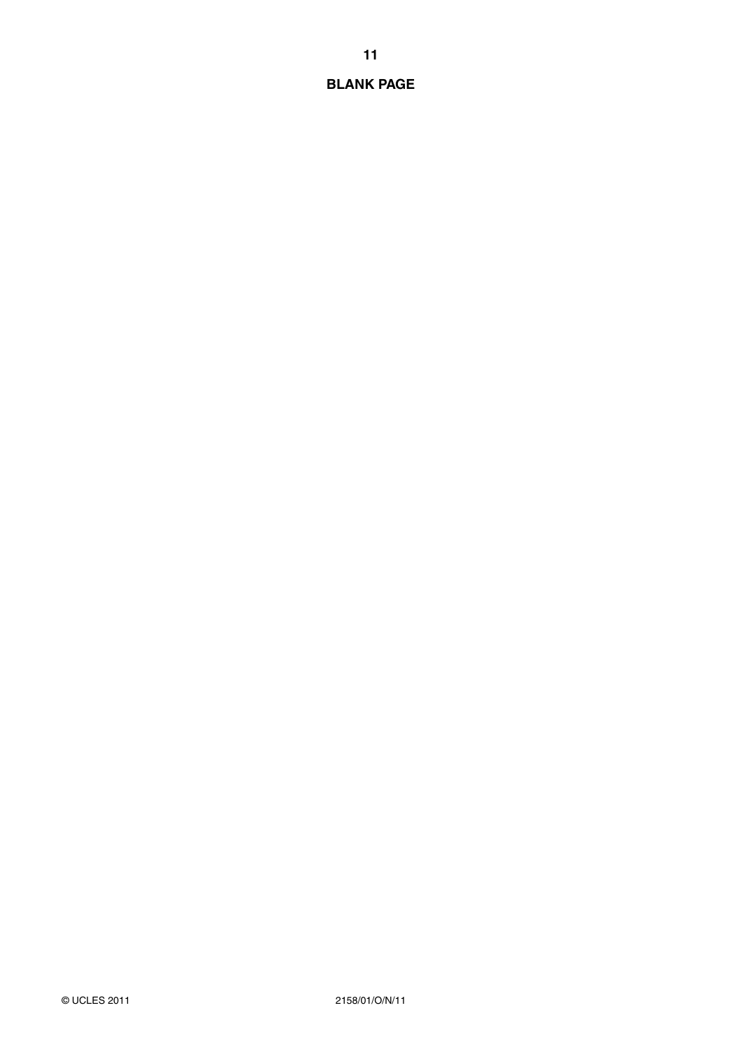# **BLANK PAGE**

**11**